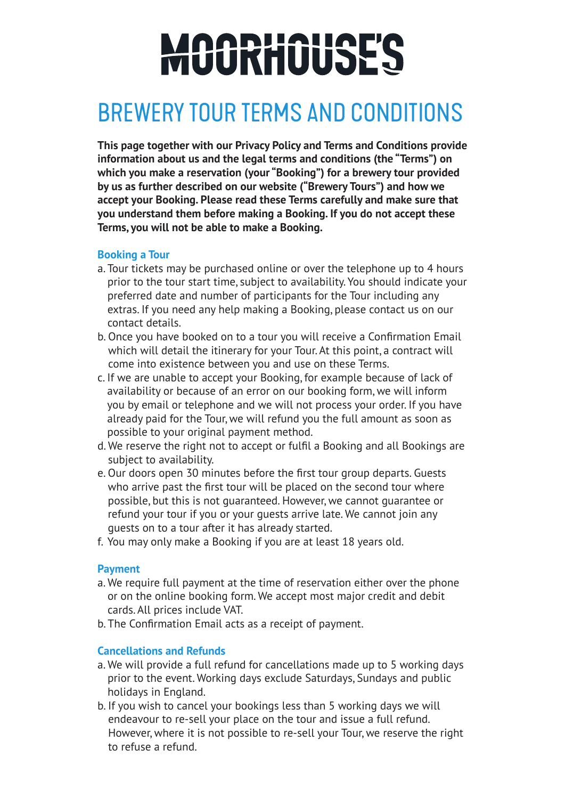# MOORHOUSES

### BREWERY TOUR TERMS AND CONDITIONS

**This page together with our Privacy Policy and Terms and Conditions provide information about us and the legal terms and conditions (the "Terms") on which you make a reservation (your "Booking") for a brewery tour provided by us as further described on our website ("Brewery Tours") and how we accept your Booking. Please read these Terms carefully and make sure that you understand them before making a Booking. If you do not accept these Terms, you will not be able to make a Booking.**

#### **Booking a Tour**

- a. Tour tickets may be purchased online or over the telephone up to 4 hours prior to the tour start time, subject to availability. You should indicate your preferred date and number of participants for the Tour including any extras. If you need any help making a Booking, please contact us on our contact details.
- b. Once you have booked on to a tour you will receive a Confirmation Email which will detail the itinerary for your Tour. At this point, a contract will come into existence between you and use on these Terms.
- c. If we are unable to accept your Booking, for example because of lack of availability or because of an error on our booking form, we will inform you by email or telephone and we will not process your order. If you have already paid for the Tour, we will refund you the full amount as soon as possible to your original payment method.
- d. We reserve the right not to accept or fulfil a Booking and all Bookings are subject to availability.
- e. Our doors open 30 minutes before the first tour group departs. Guests who arrive past the first tour will be placed on the second tour where possible, but this is not guaranteed. However, we cannot guarantee or refund your tour if you or your guests arrive late. We cannot join any guests on to a tour after it has already started.
- f. You may only make a Booking if you are at least 18 years old.

#### **Payment**

- a. We require full payment at the time of reservation either over the phone or on the online booking form. We accept most major credit and debit cards. All prices include VAT.
- b. The Confirmation Email acts as a receipt of payment.

#### **Cancellations and Refunds**

- a. We will provide a full refund for cancellations made up to 5 working days prior to the event. Working days exclude Saturdays, Sundays and public holidays in England.
- b. If you wish to cancel your bookings less than 5 working days we will endeavour to re-sell your place on the tour and issue a full refund. However, where it is not possible to re-sell your Tour, we reserve the right to refuse a refund.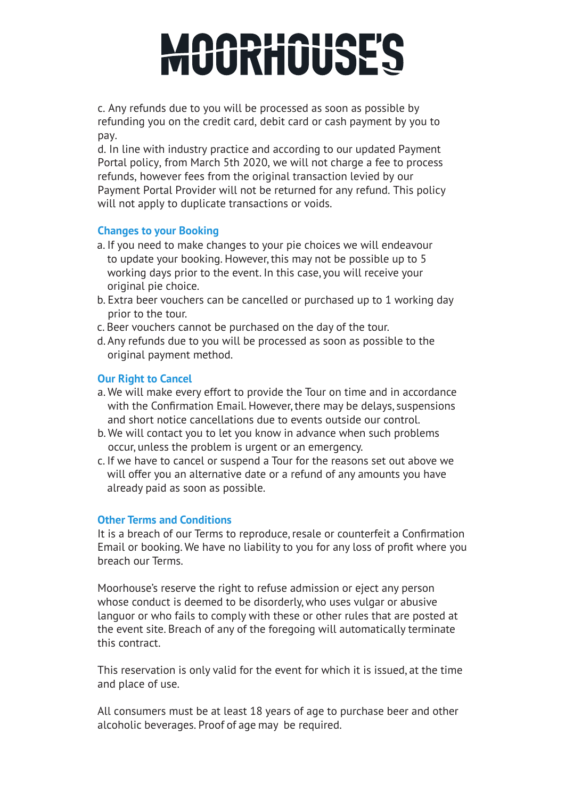## MOORHOUSES

c. Any refunds due to you will be processed as soon as possible by refunding you on the credit card, debit card or cash payment by you to pay.

d. In line with industry practice and according to our updated Payment Portal policy, from March 5th 2020, we will not charge a fee to process refunds, however fees from the original transaction levied by our Payment Portal Provider will not be returned for any refund. This policy will not apply to duplicate transactions or voids.

#### **Changes to your Booking**

- a. If you need to make changes to your pie choices we will endeavour to update your booking. However, this may not be possible up to 5 working days prior to the event. In this case, you will receive your original pie choice.
- b. Extra beer vouchers can be cancelled or purchased up to 1 working day prior to the tour.
- c. Beer vouchers cannot be purchased on the day of the tour.
- d. Any refunds due to you will be processed as soon as possible to the original payment method.

#### **Our Right to Cancel**

- a. We will make every effort to provide the Tour on time and in accordance with the Confirmation Email. However, there may be delays, suspensions and short notice cancellations due to events outside our control.
- b. We will contact you to let you know in advance when such problems occur, unless the problem is urgent or an emergency.
- c. If we have to cancel or suspend a Tour for the reasons set out above we will offer you an alternative date or a refund of any amounts you have already paid as soon as possible.

#### **Other Terms and Conditions**

It is a breach of our Terms to reproduce, resale or counterfeit a Confirmation Email or booking. We have no liability to you for any loss of profit where you breach our Terms.

Moorhouse's reserve the right to refuse admission or eject any person whose conduct is deemed to be disorderly, who uses vulgar or abusive languor or who fails to comply with these or other rules that are posted at the event site. Breach of any of the foregoing will automatically terminate this contract.

This reservation is only valid for the event for which it is issued, at the time and place of use.

All consumers must be at least 18 years of age to purchase beer and other alcoholic beverages. Proof of age may be required.